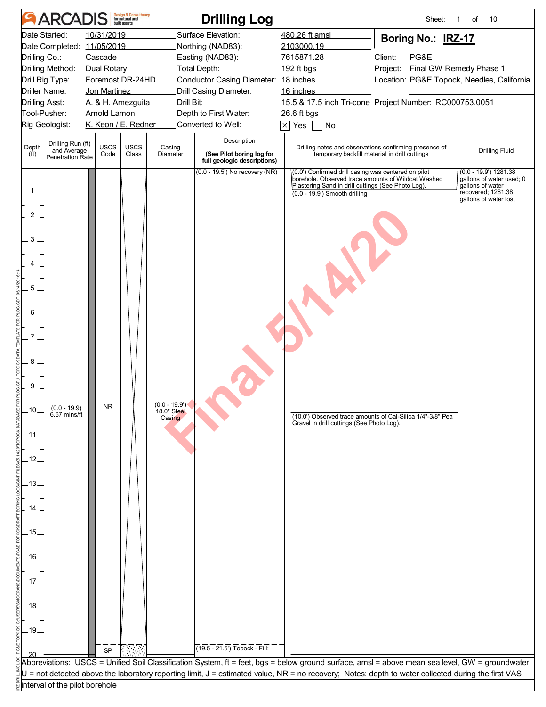| 10/31/2019<br>Surface Elevation:<br>Date Started:<br>480.26 ft amsl<br>Boring No.: IRZ-17<br>Date Completed: 11/05/2019<br>Northing (NAD83):<br>2103000.19<br>Drilling Co.:<br>Client:<br>PG&E<br>Cascade<br>Easting (NAD83):<br>7615871.28<br>Drilling Method:<br>Dual Rotary<br>Total Depth:<br>Final GW Remedy Phase 1<br>192 ft bgs<br>Project:<br>Conductor Casing Diameter: 18 inches<br>Location: PG&E Topock, Needles, California<br>Drill Rig Type:<br>Foremost DR-24HD<br>Driller Name:<br>16 inches<br>Jon Martinez<br>Drill Casing Diameter:<br>15.5 & 17.5 inch Tri-cone Project Number: RC000753.0051<br><b>Drilling Asst:</b><br>A. & H. Amezguita<br>Drill Bit:<br>Tool-Pusher:<br><b>Arnold Lamon</b><br>Depth to First Water:<br>26.6 ft bgs<br>K. Keon / E. Redner<br>Rig Geologist:<br>Converted to Well:<br>Yes<br>No<br>$\times$<br>Description<br>Drilling Run (ft)<br><b>USCS</b><br><b>USCS</b><br>Drilling notes and observations confirming presence of<br>Depth<br>Casing<br>and Average<br><b>Drilling Fluid</b><br>Code<br>Class<br>(See Pilot boring log for<br>temporary backfill material in drill cuttings<br>Diameter<br>(f <sup>t</sup> )<br>Penetration Rate<br>full geologic descriptions)<br>(0.0 - 19.5') No recovery (NR)<br>$(0.0 - 19.9)$ 1281.38<br>(0.0') Confirmed drill casing was centered on pilot<br>borehole. Observed trace amounts of Wildcat Washed<br>gallons of water used; 0<br>Plastering Sand in drill cuttings (See Photo Log).<br>gallons of water<br>recovered; 1281.38<br>$(0.0 - 19.9)$ Smooth drilling<br>gallons of water lost<br>$\overline{2}$<br>3<br>5<br>6<br>8<br>9<br>$(0.0 - 19.9')$<br><b>NR</b><br>$(0.0 - 19.9)$<br>.10.<br>18.0" Steel<br>$6.67$ mins/ft<br>(10.0') Observed trace amounts of Cal-Silica 1/4"-3/8" Pea<br>Casing<br>Gravel in drill cuttings (See Photo Log).<br>11۔<br>-12.<br>$-13$<br>.14<br>_15.<br>_16.<br>.17<br>-18<br>$-19.$<br>$(19.5 - 21.5)$ Topock - Fill;<br><b>SP</b><br>Abbreviations: USCS = Unified Soil Classification System, ft = feet, bgs = below ground surface, amsl = above mean sea level, GW = groundwater,<br>U = not detected above the laboratory reporting limit, J = estimated value, NR = no recovery; Notes: depth to water collected during the first VAS<br>interval of the pilot borehole | <b>ARCADIS</b> |  | <b>Design &amp; Consultancy</b><br>for natural and |  | <b>Drilling Log</b> | Sheet: | 10<br>οf |  |
|------------------------------------------------------------------------------------------------------------------------------------------------------------------------------------------------------------------------------------------------------------------------------------------------------------------------------------------------------------------------------------------------------------------------------------------------------------------------------------------------------------------------------------------------------------------------------------------------------------------------------------------------------------------------------------------------------------------------------------------------------------------------------------------------------------------------------------------------------------------------------------------------------------------------------------------------------------------------------------------------------------------------------------------------------------------------------------------------------------------------------------------------------------------------------------------------------------------------------------------------------------------------------------------------------------------------------------------------------------------------------------------------------------------------------------------------------------------------------------------------------------------------------------------------------------------------------------------------------------------------------------------------------------------------------------------------------------------------------------------------------------------------------------------------------------------------------------------------------------------------------------------------------------------------------------------------------------------------------------------------------------------------------------------------------------------------------------------------------------------------------------------------------------------------------------------------------------------------------------------------------------------------------------------------------------------------------|----------------|--|----------------------------------------------------|--|---------------------|--------|----------|--|
|                                                                                                                                                                                                                                                                                                                                                                                                                                                                                                                                                                                                                                                                                                                                                                                                                                                                                                                                                                                                                                                                                                                                                                                                                                                                                                                                                                                                                                                                                                                                                                                                                                                                                                                                                                                                                                                                                                                                                                                                                                                                                                                                                                                                                                                                                                                              |                |  |                                                    |  |                     |        |          |  |
|                                                                                                                                                                                                                                                                                                                                                                                                                                                                                                                                                                                                                                                                                                                                                                                                                                                                                                                                                                                                                                                                                                                                                                                                                                                                                                                                                                                                                                                                                                                                                                                                                                                                                                                                                                                                                                                                                                                                                                                                                                                                                                                                                                                                                                                                                                                              |                |  |                                                    |  |                     |        |          |  |
|                                                                                                                                                                                                                                                                                                                                                                                                                                                                                                                                                                                                                                                                                                                                                                                                                                                                                                                                                                                                                                                                                                                                                                                                                                                                                                                                                                                                                                                                                                                                                                                                                                                                                                                                                                                                                                                                                                                                                                                                                                                                                                                                                                                                                                                                                                                              |                |  |                                                    |  |                     |        |          |  |
|                                                                                                                                                                                                                                                                                                                                                                                                                                                                                                                                                                                                                                                                                                                                                                                                                                                                                                                                                                                                                                                                                                                                                                                                                                                                                                                                                                                                                                                                                                                                                                                                                                                                                                                                                                                                                                                                                                                                                                                                                                                                                                                                                                                                                                                                                                                              |                |  |                                                    |  |                     |        |          |  |
|                                                                                                                                                                                                                                                                                                                                                                                                                                                                                                                                                                                                                                                                                                                                                                                                                                                                                                                                                                                                                                                                                                                                                                                                                                                                                                                                                                                                                                                                                                                                                                                                                                                                                                                                                                                                                                                                                                                                                                                                                                                                                                                                                                                                                                                                                                                              |                |  |                                                    |  |                     |        |          |  |
|                                                                                                                                                                                                                                                                                                                                                                                                                                                                                                                                                                                                                                                                                                                                                                                                                                                                                                                                                                                                                                                                                                                                                                                                                                                                                                                                                                                                                                                                                                                                                                                                                                                                                                                                                                                                                                                                                                                                                                                                                                                                                                                                                                                                                                                                                                                              |                |  |                                                    |  |                     |        |          |  |
|                                                                                                                                                                                                                                                                                                                                                                                                                                                                                                                                                                                                                                                                                                                                                                                                                                                                                                                                                                                                                                                                                                                                                                                                                                                                                                                                                                                                                                                                                                                                                                                                                                                                                                                                                                                                                                                                                                                                                                                                                                                                                                                                                                                                                                                                                                                              |                |  |                                                    |  |                     |        |          |  |
|                                                                                                                                                                                                                                                                                                                                                                                                                                                                                                                                                                                                                                                                                                                                                                                                                                                                                                                                                                                                                                                                                                                                                                                                                                                                                                                                                                                                                                                                                                                                                                                                                                                                                                                                                                                                                                                                                                                                                                                                                                                                                                                                                                                                                                                                                                                              |                |  |                                                    |  |                     |        |          |  |
|                                                                                                                                                                                                                                                                                                                                                                                                                                                                                                                                                                                                                                                                                                                                                                                                                                                                                                                                                                                                                                                                                                                                                                                                                                                                                                                                                                                                                                                                                                                                                                                                                                                                                                                                                                                                                                                                                                                                                                                                                                                                                                                                                                                                                                                                                                                              |                |  |                                                    |  |                     |        |          |  |
|                                                                                                                                                                                                                                                                                                                                                                                                                                                                                                                                                                                                                                                                                                                                                                                                                                                                                                                                                                                                                                                                                                                                                                                                                                                                                                                                                                                                                                                                                                                                                                                                                                                                                                                                                                                                                                                                                                                                                                                                                                                                                                                                                                                                                                                                                                                              |                |  |                                                    |  |                     |        |          |  |
|                                                                                                                                                                                                                                                                                                                                                                                                                                                                                                                                                                                                                                                                                                                                                                                                                                                                                                                                                                                                                                                                                                                                                                                                                                                                                                                                                                                                                                                                                                                                                                                                                                                                                                                                                                                                                                                                                                                                                                                                                                                                                                                                                                                                                                                                                                                              |                |  |                                                    |  |                     |        |          |  |
|                                                                                                                                                                                                                                                                                                                                                                                                                                                                                                                                                                                                                                                                                                                                                                                                                                                                                                                                                                                                                                                                                                                                                                                                                                                                                                                                                                                                                                                                                                                                                                                                                                                                                                                                                                                                                                                                                                                                                                                                                                                                                                                                                                                                                                                                                                                              |                |  |                                                    |  |                     |        |          |  |
|                                                                                                                                                                                                                                                                                                                                                                                                                                                                                                                                                                                                                                                                                                                                                                                                                                                                                                                                                                                                                                                                                                                                                                                                                                                                                                                                                                                                                                                                                                                                                                                                                                                                                                                                                                                                                                                                                                                                                                                                                                                                                                                                                                                                                                                                                                                              |                |  |                                                    |  |                     |        |          |  |
|                                                                                                                                                                                                                                                                                                                                                                                                                                                                                                                                                                                                                                                                                                                                                                                                                                                                                                                                                                                                                                                                                                                                                                                                                                                                                                                                                                                                                                                                                                                                                                                                                                                                                                                                                                                                                                                                                                                                                                                                                                                                                                                                                                                                                                                                                                                              |                |  |                                                    |  |                     |        |          |  |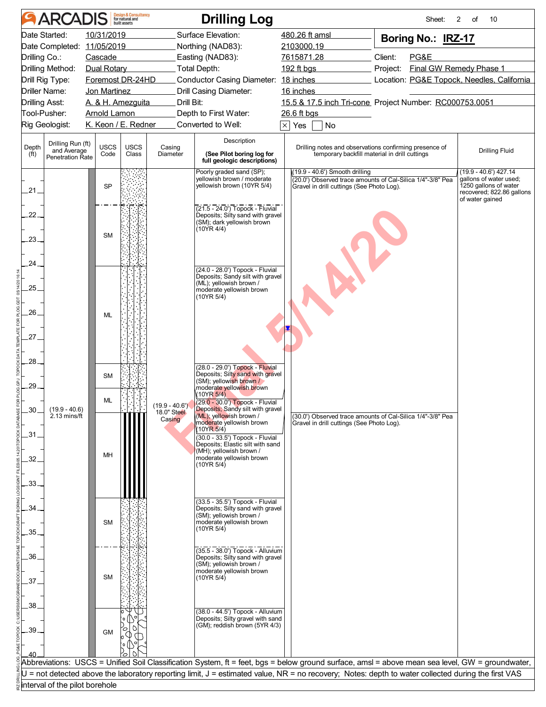| <b>ARCADIS</b>                                                                     |                                                    | <b>Design &amp; Consultancy</b><br>for natural and | <b>Drilling Log</b>                                                                                                                      |                                                                                                                                                    | Sheet:                                     | 2<br>10<br>of                                                                                                             |
|------------------------------------------------------------------------------------|----------------------------------------------------|----------------------------------------------------|------------------------------------------------------------------------------------------------------------------------------------------|----------------------------------------------------------------------------------------------------------------------------------------------------|--------------------------------------------|---------------------------------------------------------------------------------------------------------------------------|
| Date Started:                                                                      | 10/31/2019<br>Surface Elevation:<br>480.26 ft amsl |                                                    |                                                                                                                                          | Boring No.: IRZ-17                                                                                                                                 |                                            |                                                                                                                           |
| Date Completed: 11/05/2019                                                         |                                                    |                                                    | Northing (NAD83):                                                                                                                        | 2103000.19                                                                                                                                         |                                            |                                                                                                                           |
| Drilling Co.:                                                                      | Cascade                                            |                                                    | Easting (NAD83):                                                                                                                         | 7615871.28                                                                                                                                         | Client:<br>PG&E                            |                                                                                                                           |
| Drilling Method:                                                                   | Dual Rotary                                        |                                                    | Total Depth:                                                                                                                             | 192 ft bgs                                                                                                                                         | Final GW Remedy Phase 1<br>Project:        |                                                                                                                           |
| Drill Rig Type:                                                                    | Foremost DR-24HD                                   |                                                    | Conductor Casing Diameter: 18 inches                                                                                                     |                                                                                                                                                    | Location: PG&E Topock, Needles, California |                                                                                                                           |
| Driller Name:                                                                      | Jon Martinez                                       |                                                    | Drill Casing Diameter:                                                                                                                   | 16 inches                                                                                                                                          |                                            |                                                                                                                           |
| <b>Drilling Asst:</b>                                                              | A. & H. Amezguita                                  | Drill Bit:                                         |                                                                                                                                          | 15.5 & 17.5 inch Tri-cone Project Number: RC000753.0051                                                                                            |                                            |                                                                                                                           |
| Tool-Pusher:                                                                       | <b>Arnold Lamon</b>                                |                                                    | Depth to First Water:                                                                                                                    | 26.6 ft bgs                                                                                                                                        |                                            |                                                                                                                           |
| Rig Geologist:                                                                     | K. Keon / E. Redner                                |                                                    | Converted to Well:                                                                                                                       | Yes<br>No<br>$\times$                                                                                                                              |                                            |                                                                                                                           |
| Drilling Run (ft)<br>Depth<br>and Average<br>(f <sup>t</sup> )<br>Penetration Rate | <b>USCS</b><br>Code                                | <b>USCS</b><br>Casing<br>Class<br>Diameter         | Description<br>(See Pilot boring log for<br>full geologic descriptions)                                                                  | Drilling notes and observations confirming presence of<br>temporary backfill material in drill cuttings                                            |                                            | <b>Drilling Fluid</b>                                                                                                     |
| .21.                                                                               | SP                                                 |                                                    | Poorly graded sand (SP);<br>yellowish brown / moderate<br>yellowish brown (10YR 5/4)                                                     | $(19.9 - 40.6)$ Smooth drilling<br>(20.0') Observed trace amounts of Cal-Silica 1/4"-3/8" Pea<br>Gravel in drill cuttings (See Photo Log).         |                                            | $(19.9 - 40.6)$ 427.14<br>gallons of water used;<br>1250 gallons of water<br>recovered; 822.86 gallons<br>of water gained |
| 22.<br>.23.                                                                        | <b>SM</b>                                          |                                                    | (21.5 - 24.0') Topock - Fluvial<br>Deposits; Silty sand with gravel<br>(SM); dark yellowish brown<br>(10YR 4/4)                          |                                                                                                                                                    |                                            |                                                                                                                           |
| .24.<br>.25<br>.26                                                                 |                                                    |                                                    | (24.0 - 28.0') Topock - Fluvial<br>Deposits; Sandy silt with gravel<br>(ML); yellowish brown /<br>moderate yellowish brown<br>(10YR 5/4) |                                                                                                                                                    |                                            |                                                                                                                           |
| 27.<br>28.                                                                         | <b>ML</b>                                          |                                                    |                                                                                                                                          |                                                                                                                                                    |                                            |                                                                                                                           |
| .29                                                                                | <b>SM</b>                                          |                                                    | (28.0 - 29.0') Topock - Fluvial<br>Deposits; Silty sand with gravel<br>(SM); yellowish brown /<br>moderate yellowish brown<br>(10YR 5/4) |                                                                                                                                                    |                                            |                                                                                                                           |
| .30.<br>$(19.9 - 40.6)$<br>2.13 mins/ft                                            | ML                                                 | $(19.9 - 40.6')$<br>18.0" Steel<br>Casing          | (29.0 - 30.0') Topock - Fluvial<br>Deposits; Sandy silt with gravel<br>(ML); yellowish brown /<br>moderate yellowish brown<br>(10YR 5/4) | (30.0') Observed trace amounts of Cal-Silica 1/4"-3/8" Pea<br>Gravel in drill cuttings (See Photo Log).                                            |                                            |                                                                                                                           |
| $-31$<br>.32<br>.33                                                                | MН                                                 |                                                    | (30.0 - 33.5') Topock - Fluvial<br>Deposits; Elastic silt with sand<br>(MH); yellowish brown /<br>moderate yellowish brown<br>(10YR 5/4) |                                                                                                                                                    |                                            |                                                                                                                           |
| .34                                                                                | <b>SM</b>                                          |                                                    | (33.5 - 35.5') Topock - Fluvial<br>Deposits; Silty sand with gravel<br>(SM); yellowish brown /<br>moderate yellowish brown               |                                                                                                                                                    |                                            |                                                                                                                           |
| .35                                                                                |                                                    |                                                    | (10YR 5/4)<br>(35.5 - 38.0') Topock - Alluvium                                                                                           |                                                                                                                                                    |                                            |                                                                                                                           |
| .36.<br>.37                                                                        | <b>SM</b>                                          |                                                    | Deposits; Silty sand with gravel<br>(SM); yellowish brown /<br>moderate yellowish brown<br>(10YR 5/4)                                    |                                                                                                                                                    |                                            |                                                                                                                           |
| .38<br>.39                                                                         | GM                                                 |                                                    | (38.0 - 44.5') Topock - Alluvium<br>Deposits; Silty gravel with sand<br>(GM); reddish brown (5YR 4/3)                                    |                                                                                                                                                    |                                            |                                                                                                                           |
|                                                                                    |                                                    |                                                    |                                                                                                                                          | Abbreviations: USCS = Unified Soil Classification System, ft = feet, bgs = below ground surface, amsl = above mean sea level, GW = groundwater,    |                                            |                                                                                                                           |
|                                                                                    |                                                    |                                                    |                                                                                                                                          | U = not detected above the laboratory reporting limit, J = estimated value, NR = no recovery; Notes: depth to water collected during the first VAS |                                            |                                                                                                                           |
| interval of the pilot borehole                                                     |                                                    |                                                    |                                                                                                                                          |                                                                                                                                                    |                                            |                                                                                                                           |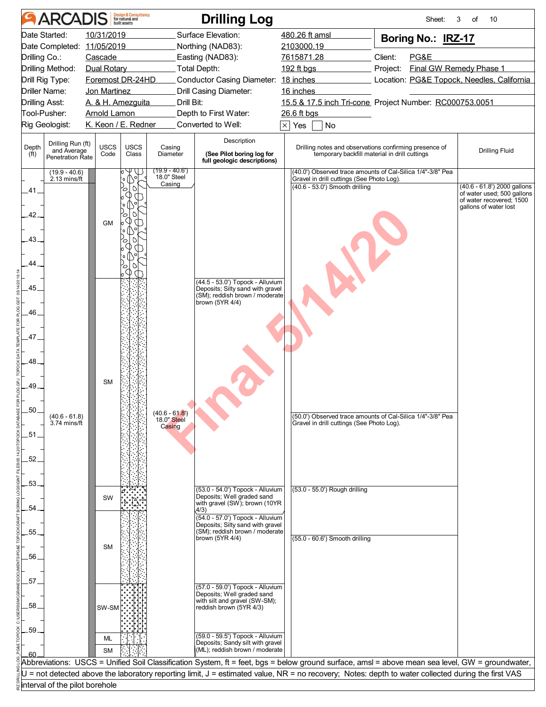|                            | <b>ARCADIS</b>                                       |                                                 | <b>Design &amp; Consultancy</b><br>for natural and |                               | <b>Drilling Log</b>                                                                                                                                |              |                |                                                                                                         |          | Sheet:             | 10<br>3<br>οf                                                                         |
|----------------------------|------------------------------------------------------|-------------------------------------------------|----------------------------------------------------|-------------------------------|----------------------------------------------------------------------------------------------------------------------------------------------------|--------------|----------------|---------------------------------------------------------------------------------------------------------|----------|--------------------|---------------------------------------------------------------------------------------|
|                            | Date Started:                                        | 10/31/2019                                      |                                                    |                               | Surface Elevation:                                                                                                                                 |              | 480.26 ft amsl |                                                                                                         |          | Boring No.: IRZ-17 |                                                                                       |
|                            |                                                      | Date Completed: 11/05/2019<br>Northing (NAD83): |                                                    |                               | 2103000.19                                                                                                                                         |              |                |                                                                                                         |          |                    |                                                                                       |
| Drilling Co.:              |                                                      | Cascade                                         |                                                    | Easting (NAD83):              |                                                                                                                                                    | 7615871.28   |                | Client:                                                                                                 | PG&E     |                    |                                                                                       |
|                            | Drilling Method:                                     | Dual Rotary                                     |                                                    |                               | Total Depth:                                                                                                                                       |              | 192 ft bgs     |                                                                                                         | Project: |                    | Final GW Remedy Phase 1                                                               |
|                            | Drill Rig Type:                                      | Foremost DR-24HD                                |                                                    |                               | Conductor Casing Diameter: 18 inches                                                                                                               |              |                |                                                                                                         |          |                    | Location: PG&E Topock, Needles, California                                            |
|                            | Driller Name:                                        | Jon Martinez                                    |                                                    |                               | Drill Casing Diameter:                                                                                                                             |              | 16 inches      |                                                                                                         |          |                    |                                                                                       |
|                            | <b>Drilling Asst:</b>                                | A. & H. Amezguita                               |                                                    | Drill Bit:                    |                                                                                                                                                    |              |                | 15.5 & 17.5 inch Tri-cone Project Number: RC000753.0051                                                 |          |                    |                                                                                       |
|                            | Tool-Pusher:                                         | <b>Arnold Lamon</b>                             |                                                    |                               | Depth to First Water:                                                                                                                              |              | 26.6 ft bgs    |                                                                                                         |          |                    |                                                                                       |
|                            | Rig Geologist:                                       | K. Keon / E. Redner                             |                                                    |                               | Converted to Well:                                                                                                                                 | $\times$ Yes |                | No                                                                                                      |          |                    |                                                                                       |
| Depth<br>(f <sup>t</sup> ) | Drilling Run (ft)<br>and Average<br>Penetration Rate | <b>USCS</b><br>Code                             | <b>USCS</b><br>Class                               | Casing<br>Diameter            | Description<br>(See Pilot boring log for<br>full geologic descriptions)                                                                            |              |                | Drilling notes and observations confirming presence of<br>temporary backfill material in drill cuttings |          |                    | <b>Drilling Fluid</b>                                                                 |
|                            | $(19.9 - 40.6)$<br>$2.13$ mins/ft                    |                                                 | $\lambda$<br>'o                                    | (19.9 - 40.6')<br>18.0" Steel |                                                                                                                                                    |              |                | (40.0') Observed trace amounts of Cal-Silica 1/4"-3/8" Pea<br>Gravel in drill cuttings (See Photo Log). |          |                    |                                                                                       |
| .41.                       |                                                      |                                                 | $\circ$<br>O<br>K)                                 | Casing                        |                                                                                                                                                    |              |                | (40.6 - 53.0') Smooth drilling                                                                          |          |                    | (40.6 - 61.8') 2000 gallons<br>of water used; 500 gallons<br>of water recovered; 1500 |
| .42.                       |                                                      |                                                 |                                                    |                               |                                                                                                                                                    |              |                |                                                                                                         |          |                    | gallons of water lost                                                                 |
|                            |                                                      | GM                                              |                                                    |                               |                                                                                                                                                    |              |                |                                                                                                         |          |                    |                                                                                       |
| $-43.$                     |                                                      |                                                 |                                                    |                               |                                                                                                                                                    |              |                |                                                                                                         |          |                    |                                                                                       |
|                            |                                                      |                                                 |                                                    |                               |                                                                                                                                                    |              |                |                                                                                                         |          |                    |                                                                                       |
| 44                         |                                                      |                                                 |                                                    |                               |                                                                                                                                                    |              |                |                                                                                                         |          |                    |                                                                                       |
|                            |                                                      |                                                 |                                                    |                               | (44.5 - 53.0') Topock - Alluvium                                                                                                                   |              |                |                                                                                                         |          |                    |                                                                                       |
| .45                        |                                                      |                                                 |                                                    |                               | Deposits; Silty sand with gravel<br>(SM); reddish brown / moderate                                                                                 |              |                |                                                                                                         |          |                    |                                                                                       |
|                            |                                                      |                                                 |                                                    |                               | brown (5YR 4/4)                                                                                                                                    |              |                |                                                                                                         |          |                    |                                                                                       |
| 46                         |                                                      |                                                 |                                                    |                               |                                                                                                                                                    |              |                |                                                                                                         |          |                    |                                                                                       |
|                            |                                                      |                                                 |                                                    |                               |                                                                                                                                                    |              |                |                                                                                                         |          |                    |                                                                                       |
| .47.                       |                                                      |                                                 |                                                    |                               |                                                                                                                                                    |              |                |                                                                                                         |          |                    |                                                                                       |
|                            |                                                      |                                                 |                                                    |                               |                                                                                                                                                    |              |                |                                                                                                         |          |                    |                                                                                       |
| $-48$                      |                                                      |                                                 |                                                    |                               |                                                                                                                                                    |              |                |                                                                                                         |          |                    |                                                                                       |
|                            |                                                      |                                                 |                                                    |                               |                                                                                                                                                    |              |                |                                                                                                         |          |                    |                                                                                       |
| .49                        |                                                      | <b>SM</b>                                       |                                                    |                               |                                                                                                                                                    |              |                |                                                                                                         |          |                    |                                                                                       |
|                            |                                                      |                                                 |                                                    |                               |                                                                                                                                                    |              |                |                                                                                                         |          |                    |                                                                                       |
| .50<br>DATABASE            | $(40.6 - 61.8)$                                      |                                                 |                                                    | $(40.6 - 61.8)$               |                                                                                                                                                    |              |                | (50.0') Observed trace amounts of Cal-Silica 1/4"-3/8" Pea                                              |          |                    |                                                                                       |
|                            | 3.74 mins/ft                                         |                                                 |                                                    | 18.0" Steel<br>Casing         |                                                                                                                                                    |              |                | Gravel in drill cuttings (See Photo Log).                                                               |          |                    |                                                                                       |
| $-51$                      |                                                      |                                                 |                                                    |                               |                                                                                                                                                    |              |                |                                                                                                         |          |                    |                                                                                       |
|                            |                                                      |                                                 |                                                    |                               |                                                                                                                                                    |              |                |                                                                                                         |          |                    |                                                                                       |
| .52                        |                                                      |                                                 |                                                    |                               |                                                                                                                                                    |              |                |                                                                                                         |          |                    |                                                                                       |
|                            |                                                      |                                                 |                                                    |                               |                                                                                                                                                    |              |                |                                                                                                         |          |                    |                                                                                       |
| .53                        |                                                      |                                                 |                                                    |                               | (53.0 - 54.0') Topock - Alluvium                                                                                                                   |              |                | (53.0 - 55.0') Rough drilling                                                                           |          |                    |                                                                                       |
|                            |                                                      | SW                                              |                                                    |                               | Deposits; Well graded sand<br>with gravel (SW); brown (10YR                                                                                        |              |                |                                                                                                         |          |                    |                                                                                       |
| 54                         |                                                      |                                                 |                                                    |                               | (4/3)                                                                                                                                              |              |                |                                                                                                         |          |                    |                                                                                       |
|                            |                                                      |                                                 |                                                    |                               | (54.0 - 57.0') Topock - Alluvium<br>Deposits; Silty sand with gravel                                                                               |              |                |                                                                                                         |          |                    |                                                                                       |
| 55.                        |                                                      |                                                 |                                                    |                               | (SM); reddish brown / moderate<br>brown (5YR 4/4)                                                                                                  |              |                | (55.0 - 60.6') Smooth drilling                                                                          |          |                    |                                                                                       |
|                            |                                                      | <b>SM</b>                                       |                                                    |                               |                                                                                                                                                    |              |                |                                                                                                         |          |                    |                                                                                       |
| .56.                       |                                                      |                                                 |                                                    |                               |                                                                                                                                                    |              |                |                                                                                                         |          |                    |                                                                                       |
|                            |                                                      |                                                 |                                                    |                               |                                                                                                                                                    |              |                |                                                                                                         |          |                    |                                                                                       |
| .57                        |                                                      |                                                 |                                                    |                               | (57.0 - 59.0') Topock - Alluvium                                                                                                                   |              |                |                                                                                                         |          |                    |                                                                                       |
|                            |                                                      |                                                 |                                                    |                               | Deposits; Well graded sand                                                                                                                         |              |                |                                                                                                         |          |                    |                                                                                       |
| .58                        |                                                      | SW-SM                                           |                                                    |                               | with silt and gravel (SW-SM);<br>reddish brown (5YR 4/3)                                                                                           |              |                |                                                                                                         |          |                    |                                                                                       |
|                            |                                                      |                                                 |                                                    |                               |                                                                                                                                                    |              |                |                                                                                                         |          |                    |                                                                                       |
| .59                        |                                                      |                                                 |                                                    |                               |                                                                                                                                                    |              |                |                                                                                                         |          |                    |                                                                                       |
|                            |                                                      | ML                                              |                                                    |                               | (59.0 - 59.5') Topock - Alluvium<br>Deposits; Sandy silt with gravel                                                                               |              |                |                                                                                                         |          |                    |                                                                                       |
| 60                         |                                                      | <b>SM</b>                                       |                                                    |                               | (ML); reddish brown / moderate                                                                                                                     |              |                |                                                                                                         |          |                    |                                                                                       |
|                            |                                                      |                                                 |                                                    |                               | Abbreviations: USCS = Unified Soil Classification System, ft = feet, bgs = below ground surface, amsl = above mean sea level, GW = groundwater,    |              |                |                                                                                                         |          |                    |                                                                                       |
|                            |                                                      |                                                 |                                                    |                               | U = not detected above the laboratory reporting limit, J = estimated value, NR = no recovery; Notes: depth to water collected during the first VAS |              |                |                                                                                                         |          |                    |                                                                                       |
|                            | interval of the pilot borehole                       |                                                 |                                                    |                               |                                                                                                                                                    |              |                |                                                                                                         |          |                    |                                                                                       |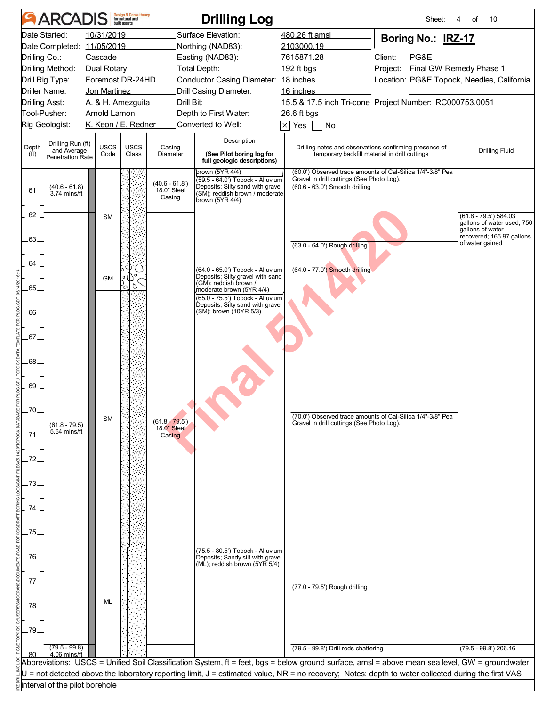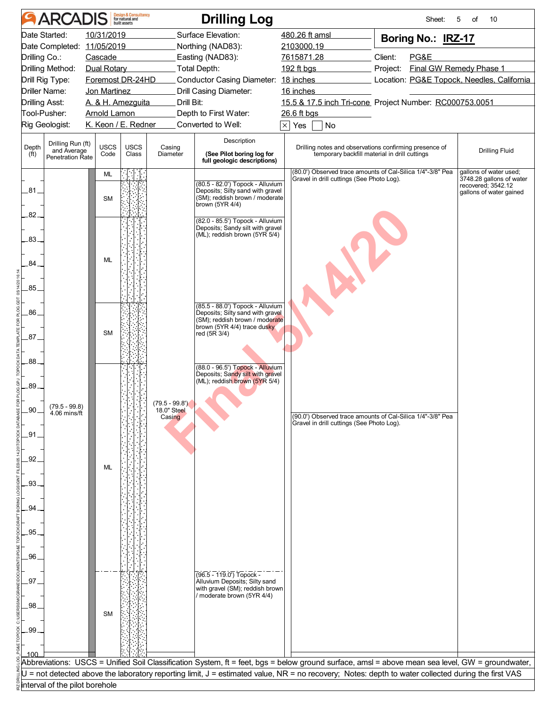|                                | <b>ARCADIS</b>                                                                                                                                  |                                                    | <b>Design &amp; Consultancy</b><br>for natural and            |                      |                       | <b>Drilling Log</b>                                                |                                                                                                                                                    | Sheet:                                     | 5<br>10<br>οf                                  |  |  |
|--------------------------------|-------------------------------------------------------------------------------------------------------------------------------------------------|----------------------------------------------------|---------------------------------------------------------------|----------------------|-----------------------|--------------------------------------------------------------------|----------------------------------------------------------------------------------------------------------------------------------------------------|--------------------------------------------|------------------------------------------------|--|--|
|                                | Date Started:                                                                                                                                   | 10/31/2019<br>Surface Elevation:<br>480.26 ft amsl |                                                               |                      |                       |                                                                    |                                                                                                                                                    | Boring No.: IRZ-17                         |                                                |  |  |
|                                |                                                                                                                                                 |                                                    | Date Completed: 11/05/2019<br>Northing (NAD83):<br>2103000.19 |                      |                       |                                                                    |                                                                                                                                                    |                                            |                                                |  |  |
| Drilling Co.:                  |                                                                                                                                                 | Cascade                                            |                                                               |                      |                       | Easting (NAD83):                                                   | 7615871.28                                                                                                                                         | Client:<br>PG&E                            |                                                |  |  |
|                                | Drilling Method:                                                                                                                                | Dual Rotary                                        |                                                               |                      |                       | Total Depth:                                                       | 192 ft bgs                                                                                                                                         | Project:                                   | Final GW Remedy Phase 1                        |  |  |
|                                | Drill Rig Type:<br>Driller Name:                                                                                                                | Foremost DR-24HD<br>Jon Martinez                   |                                                               |                      |                       | Conductor Casing Diameter: 18 inches<br>Drill Casing Diameter:     | 16 inches                                                                                                                                          | Location: PG&E Topock, Needles, California |                                                |  |  |
| <b>Drilling Asst:</b>          |                                                                                                                                                 | A. & H. Amezguita                                  |                                                               |                      | Drill Bit:            |                                                                    | 15.5 & 17.5 inch Tri-cone Project Number: RC000753.0051                                                                                            |                                            |                                                |  |  |
|                                | Tool-Pusher:                                                                                                                                    | <b>Arnold Lamon</b>                                |                                                               |                      |                       | Depth to First Water:                                              | 26.6 ft bgs                                                                                                                                        |                                            |                                                |  |  |
|                                | Rig Geologist:                                                                                                                                  | K. Keon / E. Redner                                |                                                               |                      |                       | Converted to Well:                                                 | Yes<br>$ \times $<br>No                                                                                                                            |                                            |                                                |  |  |
|                                |                                                                                                                                                 |                                                    |                                                               |                      |                       | Description                                                        |                                                                                                                                                    |                                            |                                                |  |  |
| Depth<br>(f <sup>t</sup> )     | Drilling Run (ft)<br>and Average<br>Penetration Rate                                                                                            | <b>USCS</b><br>Code                                |                                                               | <b>USCS</b><br>Class | Casing<br>Diameter    | (See Pilot boring log for                                          | Drilling notes and observations confirming presence of<br>temporary backfill material in drill cuttings                                            |                                            | <b>Drilling Fluid</b>                          |  |  |
|                                |                                                                                                                                                 |                                                    |                                                               |                      |                       | full geologic descriptions)                                        | (80.0') Observed trace amounts of Cal-Silica 1/4"-3/8" Pea                                                                                         |                                            | gallons of water used;                         |  |  |
|                                |                                                                                                                                                 | ML                                                 |                                                               |                      |                       | (80.5 - 82.0') Topock - Alluvium                                   | Gravel in drill cuttings (See Photo Log).                                                                                                          |                                            | 3748.28 gallons of water<br>recovered; 3542.12 |  |  |
| .81.                           |                                                                                                                                                 | <b>SM</b>                                          |                                                               |                      |                       | Deposits; Silty sand with gravel<br>(SM); reddish brown / moderate |                                                                                                                                                    |                                            | gallons of water gained                        |  |  |
|                                |                                                                                                                                                 |                                                    |                                                               |                      |                       | brown (5YR 4/4)                                                    |                                                                                                                                                    |                                            |                                                |  |  |
| 82.                            |                                                                                                                                                 |                                                    |                                                               |                      |                       | (82.0 - 85.5') Topock - Alluvium                                   |                                                                                                                                                    |                                            |                                                |  |  |
|                                |                                                                                                                                                 |                                                    |                                                               |                      |                       | Deposits; Sandy silt with gravel<br>(ML); reddish brown (5YR 5/4)  |                                                                                                                                                    |                                            |                                                |  |  |
| $-83-$                         |                                                                                                                                                 |                                                    |                                                               |                      |                       |                                                                    |                                                                                                                                                    |                                            |                                                |  |  |
|                                |                                                                                                                                                 | <b>ML</b>                                          |                                                               |                      |                       |                                                                    |                                                                                                                                                    |                                            |                                                |  |  |
| .84.                           |                                                                                                                                                 |                                                    |                                                               |                      |                       |                                                                    |                                                                                                                                                    |                                            |                                                |  |  |
|                                |                                                                                                                                                 |                                                    |                                                               |                      |                       |                                                                    |                                                                                                                                                    |                                            |                                                |  |  |
| .85                            |                                                                                                                                                 |                                                    |                                                               |                      |                       |                                                                    |                                                                                                                                                    |                                            |                                                |  |  |
|                                |                                                                                                                                                 |                                                    |                                                               |                      |                       | (85.5 - 88.0') Topock - Alluvium                                   |                                                                                                                                                    |                                            |                                                |  |  |
| 86                             |                                                                                                                                                 |                                                    |                                                               |                      |                       | Deposits; Silty sand with gravel<br>(SM); reddish brown / moderate |                                                                                                                                                    |                                            |                                                |  |  |
|                                |                                                                                                                                                 | <b>SM</b>                                          |                                                               |                      |                       | brown (5YR 4/4) trace dusky<br>red (5R 3/4)                        |                                                                                                                                                    |                                            |                                                |  |  |
| 287                            |                                                                                                                                                 |                                                    |                                                               |                      |                       |                                                                    |                                                                                                                                                    |                                            |                                                |  |  |
|                                |                                                                                                                                                 |                                                    |                                                               |                      |                       |                                                                    |                                                                                                                                                    |                                            |                                                |  |  |
| 88.                            |                                                                                                                                                 |                                                    |                                                               |                      |                       | (88.0 - 96.5') Topock - Alluvium                                   |                                                                                                                                                    |                                            |                                                |  |  |
|                                |                                                                                                                                                 |                                                    |                                                               |                      |                       | Deposits; Sandy silt with gravel<br>(ML); reddish brown (5YR 5/4)  |                                                                                                                                                    |                                            |                                                |  |  |
| .89.                           |                                                                                                                                                 |                                                    |                                                               |                      |                       |                                                                    |                                                                                                                                                    |                                            |                                                |  |  |
|                                |                                                                                                                                                 |                                                    |                                                               |                      | $(79.5 - 99.8')$      |                                                                    |                                                                                                                                                    |                                            |                                                |  |  |
| .90                            | (79.5 - 99.8)<br>4.06 mins/ft                                                                                                                   |                                                    |                                                               |                      | 18.0" Steel<br>Casing |                                                                    | (90.0') Observed trace amounts of Cal-Silica 1/4"-3/8" Pea                                                                                         |                                            |                                                |  |  |
|                                |                                                                                                                                                 |                                                    |                                                               |                      |                       |                                                                    | Gravel in drill cuttings (See Photo Log).                                                                                                          |                                            |                                                |  |  |
| $-91$                          |                                                                                                                                                 |                                                    |                                                               |                      |                       |                                                                    |                                                                                                                                                    |                                            |                                                |  |  |
|                                |                                                                                                                                                 |                                                    |                                                               |                      |                       |                                                                    |                                                                                                                                                    |                                            |                                                |  |  |
| .92                            |                                                                                                                                                 | ML                                                 |                                                               |                      |                       |                                                                    |                                                                                                                                                    |                                            |                                                |  |  |
| .93                            |                                                                                                                                                 |                                                    |                                                               |                      |                       |                                                                    |                                                                                                                                                    |                                            |                                                |  |  |
|                                |                                                                                                                                                 |                                                    |                                                               |                      |                       |                                                                    |                                                                                                                                                    |                                            |                                                |  |  |
| .94                            |                                                                                                                                                 |                                                    |                                                               |                      |                       |                                                                    |                                                                                                                                                    |                                            |                                                |  |  |
|                                |                                                                                                                                                 |                                                    |                                                               |                      |                       |                                                                    |                                                                                                                                                    |                                            |                                                |  |  |
| .95                            |                                                                                                                                                 |                                                    |                                                               |                      |                       |                                                                    |                                                                                                                                                    |                                            |                                                |  |  |
|                                |                                                                                                                                                 |                                                    |                                                               |                      |                       |                                                                    |                                                                                                                                                    |                                            |                                                |  |  |
| .96                            |                                                                                                                                                 |                                                    |                                                               |                      |                       |                                                                    |                                                                                                                                                    |                                            |                                                |  |  |
|                                |                                                                                                                                                 |                                                    |                                                               |                      |                       |                                                                    |                                                                                                                                                    |                                            |                                                |  |  |
| .97                            |                                                                                                                                                 |                                                    |                                                               |                      |                       | $(96.5 - 119.0)$ Topock -<br>Alluvium Deposits; Silty sand         |                                                                                                                                                    |                                            |                                                |  |  |
|                                |                                                                                                                                                 |                                                    |                                                               |                      |                       | with gravel (SM); reddish brown                                    |                                                                                                                                                    |                                            |                                                |  |  |
| .98                            |                                                                                                                                                 |                                                    |                                                               |                      |                       | moderate brown (5YR 4/4)                                           |                                                                                                                                                    |                                            |                                                |  |  |
|                                |                                                                                                                                                 | <b>SM</b>                                          |                                                               |                      |                       |                                                                    |                                                                                                                                                    |                                            |                                                |  |  |
| .99                            |                                                                                                                                                 |                                                    |                                                               |                      |                       |                                                                    |                                                                                                                                                    |                                            |                                                |  |  |
|                                |                                                                                                                                                 |                                                    |                                                               |                      |                       |                                                                    |                                                                                                                                                    |                                            |                                                |  |  |
|                                |                                                                                                                                                 |                                                    |                                                               |                      |                       |                                                                    |                                                                                                                                                    |                                            |                                                |  |  |
|                                | Abbreviations: USCS = Unified Soil Classification System, ft = feet, bgs = below ground surface, amsl = above mean sea level, GW = groundwater, |                                                    |                                                               |                      |                       |                                                                    |                                                                                                                                                    |                                            |                                                |  |  |
|                                |                                                                                                                                                 |                                                    |                                                               |                      |                       |                                                                    | U = not detected above the laboratory reporting limit, J = estimated value, NR = no recovery; Notes: depth to water collected during the first VAS |                                            |                                                |  |  |
| interval of the pilot borehole |                                                                                                                                                 |                                                    |                                                               |                      |                       |                                                                    |                                                                                                                                                    |                                            |                                                |  |  |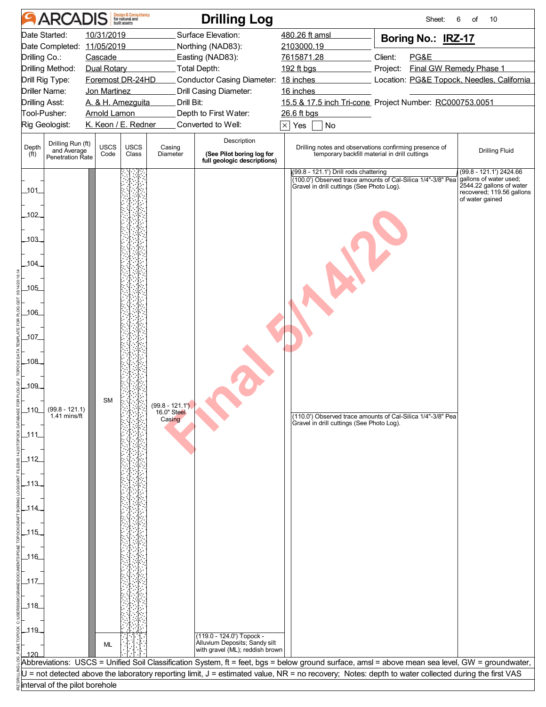| 10/31/2019<br>Surface Elevation:<br>480.26 ft amsl<br>Boring No.: IRZ-17<br>Date Completed: 11/05/2019<br>Northing (NAD83):<br>2103000.19<br>Drilling Co.:<br>Easting (NAD83):<br>Client:<br>PG&E<br>Cascade<br>7615871.28<br>Final GW Remedy Phase 1<br>Drilling Method:<br>Dual Rotary<br>Total Depth:<br>192 ft bgs<br>Project:<br>Conductor Casing Diameter: 18 inches<br>Drill Rig Type:<br>Foremost DR-24HD<br>Location: PG&E Topock, Needles, California<br>Driller Name:<br>16 inches<br>Jon Martinez<br>Drill Casing Diameter:<br>15.5 & 17.5 inch Tri-cone Project Number: RC000753.0051<br><b>Drilling Asst:</b><br>A. & H. Amezguita<br>Drill Bit:<br><b>Arnold Lamon</b><br>Depth to First Water:<br>26.6 ft bgs<br>K. Keon / E. Redner<br>Converted to Well:<br>$\times$ Yes<br>No<br>Description<br>Drilling Run (ft)<br><b>USCS</b><br>Depth<br><b>USCS</b><br>Drilling notes and observations confirming presence of<br>Casing<br>and Average<br><b>Drilling Fluid</b><br>Code<br>Class<br>(See Pilot boring log for<br>temporary backfill material in drill cuttings<br>Diameter<br>(f <sup>t</sup> )<br><b>Penetration Rate</b><br>full geologic descriptions)<br>(99.8 - 121.1') 2424.66<br>(99.8 - 121.1') Drill rods chattering<br>gallons of water used;<br>(100.0') Observed trace amounts of Cal-Silica 1/4"-3/8" Pea<br>2544.22 gallons of water<br>Gravel in drill cuttings (See Photo Log).<br>101<br>recovered; 119.56 gallons<br>of water gained<br>102<br>103<br>104<br>105<br>106<br>$107 -$<br>108<br>109<br><b>SM</b><br>$(99.8 - 121.1)$<br>_110___<br>$(99.8 - 121.1)$<br>16.0" Steel<br>1.41 mins/ft<br>(110.0') Observed trace amounts of Cal-Silica 1/4"-3/8" Pea<br>Casing<br>Gravel in drill cuttings (See Photo Log).<br>113<br>114<br>115<br><u> 116.</u><br>$-118$<br>(119.0 - 124.0') Topock -<br>Alluvium Deposits; Sandy silt<br>ML<br>with gravel (ML); reddish brown<br>Abbreviations: USCS = Unified Soil Classification System, ft = feet, bgs = below ground surface, amsl = above mean sea level, GW = groundwater,<br>U = not detected above the laboratory reporting limit, J = estimated value, NR = no recovery; Notes: depth to water collected during the first VAS<br>interval of the pilot borehole | <b>ARCADIS</b> |  |  | <b>Design &amp; Consultancy</b><br>for natural and |  | <b>Drilling Log</b> | Sheet: | 10<br>6<br>οf |  |
|------------------------------------------------------------------------------------------------------------------------------------------------------------------------------------------------------------------------------------------------------------------------------------------------------------------------------------------------------------------------------------------------------------------------------------------------------------------------------------------------------------------------------------------------------------------------------------------------------------------------------------------------------------------------------------------------------------------------------------------------------------------------------------------------------------------------------------------------------------------------------------------------------------------------------------------------------------------------------------------------------------------------------------------------------------------------------------------------------------------------------------------------------------------------------------------------------------------------------------------------------------------------------------------------------------------------------------------------------------------------------------------------------------------------------------------------------------------------------------------------------------------------------------------------------------------------------------------------------------------------------------------------------------------------------------------------------------------------------------------------------------------------------------------------------------------------------------------------------------------------------------------------------------------------------------------------------------------------------------------------------------------------------------------------------------------------------------------------------------------------------------------------------------------------------------------------------------------------------------------------------------------|----------------|--|--|----------------------------------------------------|--|---------------------|--------|---------------|--|
|                                                                                                                                                                                                                                                                                                                                                                                                                                                                                                                                                                                                                                                                                                                                                                                                                                                                                                                                                                                                                                                                                                                                                                                                                                                                                                                                                                                                                                                                                                                                                                                                                                                                                                                                                                                                                                                                                                                                                                                                                                                                                                                                                                                                                                                                  | Date Started:  |  |  |                                                    |  |                     |        |               |  |
|                                                                                                                                                                                                                                                                                                                                                                                                                                                                                                                                                                                                                                                                                                                                                                                                                                                                                                                                                                                                                                                                                                                                                                                                                                                                                                                                                                                                                                                                                                                                                                                                                                                                                                                                                                                                                                                                                                                                                                                                                                                                                                                                                                                                                                                                  |                |  |  |                                                    |  |                     |        |               |  |
|                                                                                                                                                                                                                                                                                                                                                                                                                                                                                                                                                                                                                                                                                                                                                                                                                                                                                                                                                                                                                                                                                                                                                                                                                                                                                                                                                                                                                                                                                                                                                                                                                                                                                                                                                                                                                                                                                                                                                                                                                                                                                                                                                                                                                                                                  |                |  |  |                                                    |  |                     |        |               |  |
|                                                                                                                                                                                                                                                                                                                                                                                                                                                                                                                                                                                                                                                                                                                                                                                                                                                                                                                                                                                                                                                                                                                                                                                                                                                                                                                                                                                                                                                                                                                                                                                                                                                                                                                                                                                                                                                                                                                                                                                                                                                                                                                                                                                                                                                                  |                |  |  |                                                    |  |                     |        |               |  |
|                                                                                                                                                                                                                                                                                                                                                                                                                                                                                                                                                                                                                                                                                                                                                                                                                                                                                                                                                                                                                                                                                                                                                                                                                                                                                                                                                                                                                                                                                                                                                                                                                                                                                                                                                                                                                                                                                                                                                                                                                                                                                                                                                                                                                                                                  |                |  |  |                                                    |  |                     |        |               |  |
|                                                                                                                                                                                                                                                                                                                                                                                                                                                                                                                                                                                                                                                                                                                                                                                                                                                                                                                                                                                                                                                                                                                                                                                                                                                                                                                                                                                                                                                                                                                                                                                                                                                                                                                                                                                                                                                                                                                                                                                                                                                                                                                                                                                                                                                                  |                |  |  |                                                    |  |                     |        |               |  |
|                                                                                                                                                                                                                                                                                                                                                                                                                                                                                                                                                                                                                                                                                                                                                                                                                                                                                                                                                                                                                                                                                                                                                                                                                                                                                                                                                                                                                                                                                                                                                                                                                                                                                                                                                                                                                                                                                                                                                                                                                                                                                                                                                                                                                                                                  | Tool-Pusher:   |  |  |                                                    |  |                     |        |               |  |
|                                                                                                                                                                                                                                                                                                                                                                                                                                                                                                                                                                                                                                                                                                                                                                                                                                                                                                                                                                                                                                                                                                                                                                                                                                                                                                                                                                                                                                                                                                                                                                                                                                                                                                                                                                                                                                                                                                                                                                                                                                                                                                                                                                                                                                                                  | Rig Geologist: |  |  |                                                    |  |                     |        |               |  |
|                                                                                                                                                                                                                                                                                                                                                                                                                                                                                                                                                                                                                                                                                                                                                                                                                                                                                                                                                                                                                                                                                                                                                                                                                                                                                                                                                                                                                                                                                                                                                                                                                                                                                                                                                                                                                                                                                                                                                                                                                                                                                                                                                                                                                                                                  |                |  |  |                                                    |  |                     |        |               |  |
|                                                                                                                                                                                                                                                                                                                                                                                                                                                                                                                                                                                                                                                                                                                                                                                                                                                                                                                                                                                                                                                                                                                                                                                                                                                                                                                                                                                                                                                                                                                                                                                                                                                                                                                                                                                                                                                                                                                                                                                                                                                                                                                                                                                                                                                                  |                |  |  |                                                    |  |                     |        |               |  |
|                                                                                                                                                                                                                                                                                                                                                                                                                                                                                                                                                                                                                                                                                                                                                                                                                                                                                                                                                                                                                                                                                                                                                                                                                                                                                                                                                                                                                                                                                                                                                                                                                                                                                                                                                                                                                                                                                                                                                                                                                                                                                                                                                                                                                                                                  | 111<br>112     |  |  |                                                    |  |                     |        |               |  |
|                                                                                                                                                                                                                                                                                                                                                                                                                                                                                                                                                                                                                                                                                                                                                                                                                                                                                                                                                                                                                                                                                                                                                                                                                                                                                                                                                                                                                                                                                                                                                                                                                                                                                                                                                                                                                                                                                                                                                                                                                                                                                                                                                                                                                                                                  | 117<br>_119_   |  |  |                                                    |  |                     |        |               |  |
|                                                                                                                                                                                                                                                                                                                                                                                                                                                                                                                                                                                                                                                                                                                                                                                                                                                                                                                                                                                                                                                                                                                                                                                                                                                                                                                                                                                                                                                                                                                                                                                                                                                                                                                                                                                                                                                                                                                                                                                                                                                                                                                                                                                                                                                                  |                |  |  |                                                    |  |                     |        |               |  |
|                                                                                                                                                                                                                                                                                                                                                                                                                                                                                                                                                                                                                                                                                                                                                                                                                                                                                                                                                                                                                                                                                                                                                                                                                                                                                                                                                                                                                                                                                                                                                                                                                                                                                                                                                                                                                                                                                                                                                                                                                                                                                                                                                                                                                                                                  |                |  |  |                                                    |  |                     |        |               |  |
|                                                                                                                                                                                                                                                                                                                                                                                                                                                                                                                                                                                                                                                                                                                                                                                                                                                                                                                                                                                                                                                                                                                                                                                                                                                                                                                                                                                                                                                                                                                                                                                                                                                                                                                                                                                                                                                                                                                                                                                                                                                                                                                                                                                                                                                                  |                |  |  |                                                    |  |                     |        |               |  |
|                                                                                                                                                                                                                                                                                                                                                                                                                                                                                                                                                                                                                                                                                                                                                                                                                                                                                                                                                                                                                                                                                                                                                                                                                                                                                                                                                                                                                                                                                                                                                                                                                                                                                                                                                                                                                                                                                                                                                                                                                                                                                                                                                                                                                                                                  |                |  |  |                                                    |  |                     |        |               |  |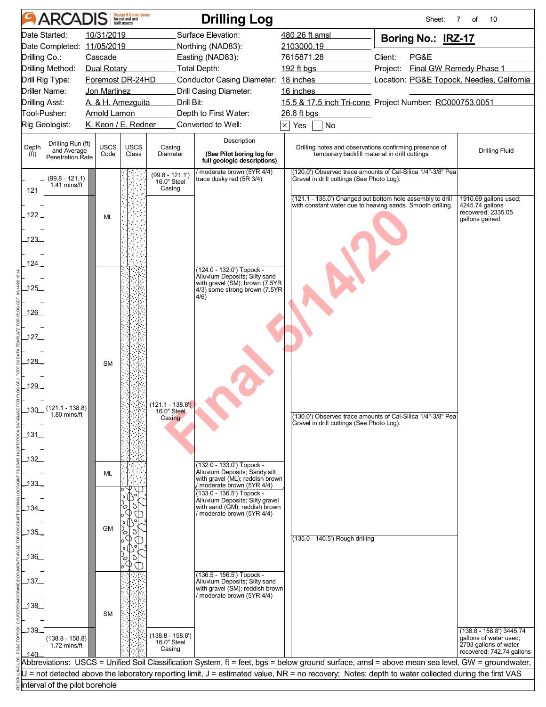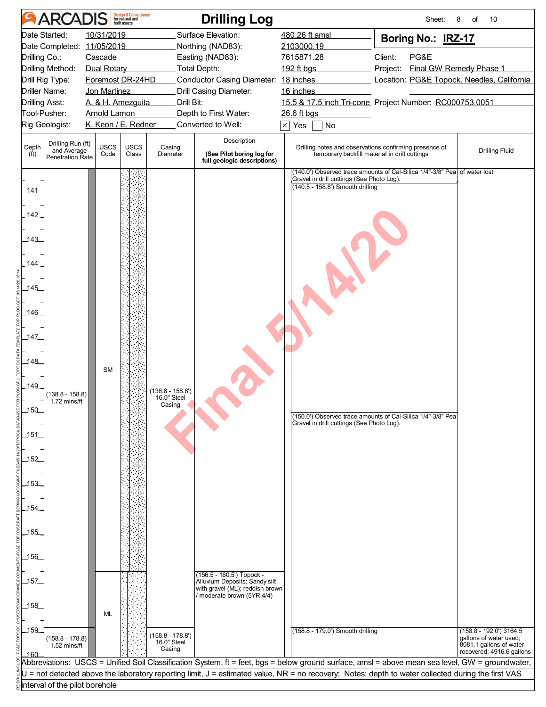|                                                                                                                      | <b>ARCADIS</b>                                              |                     | <b>Design &amp; Consultancy</b><br>for natural and |                                                                                               | <b>Drilling Log</b>                                                                           |                                                                                                                                                    | Sheet:                                                                                                                     | 10<br>8<br>of                                                                  |
|----------------------------------------------------------------------------------------------------------------------|-------------------------------------------------------------|---------------------|----------------------------------------------------|-----------------------------------------------------------------------------------------------|-----------------------------------------------------------------------------------------------|----------------------------------------------------------------------------------------------------------------------------------------------------|----------------------------------------------------------------------------------------------------------------------------|--------------------------------------------------------------------------------|
| 10/31/2019<br>Date Started:<br>Date Completed: 11/05/2019                                                            |                                                             |                     |                                                    | Surface Elevation:                                                                            |                                                                                               | 480.26 ft amsl                                                                                                                                     | Boring No.: IRZ-17                                                                                                         |                                                                                |
|                                                                                                                      |                                                             |                     |                                                    |                                                                                               | Northing (NAD83):                                                                             | 2103000.19                                                                                                                                         |                                                                                                                            |                                                                                |
| Drilling Co.:                                                                                                        |                                                             | Cascade             |                                                    |                                                                                               | Easting (NAD83):                                                                              | 7615871.28                                                                                                                                         | Client:<br>PG&E                                                                                                            |                                                                                |
|                                                                                                                      | Drilling Method:<br>Drill Rig Type:                         | Dual Rotary         | Foremost DR-24HD                                   |                                                                                               | Total Depth:<br>Conductor Casing Diameter: 18 inches                                          | 192 ft bgs                                                                                                                                         | Final GW Remedy Phase 1<br>Project:<br>Location: PG&E Topock, Needles, California                                          |                                                                                |
|                                                                                                                      | Driller Name:                                               | Jon Martinez        |                                                    |                                                                                               | Drill Casing Diameter:                                                                        | 16 inches                                                                                                                                          |                                                                                                                            |                                                                                |
| <b>Drilling Asst:</b>                                                                                                |                                                             |                     | A. & H. Amezguita                                  | Drill Bit:                                                                                    |                                                                                               | 15.5 & 17.5 inch Tri-cone Project Number: RC000753.0051                                                                                            |                                                                                                                            |                                                                                |
|                                                                                                                      | Tool-Pusher:                                                | <b>Arnold Lamon</b> |                                                    |                                                                                               | Depth to First Water:                                                                         | 26.6 ft bgs                                                                                                                                        |                                                                                                                            |                                                                                |
|                                                                                                                      | Rig Geologist:                                              |                     | K. Keon / E. Redner                                |                                                                                               | Converted to Well:                                                                            | $\times$ Yes<br>No                                                                                                                                 |                                                                                                                            |                                                                                |
| Depth<br>(f <sup>t</sup> )                                                                                           | Drilling Run (ft)<br>and Average<br><b>Penetration Rate</b> | <b>USCS</b><br>Code | <b>USCS</b><br>Class                               | Description<br>Casing<br>(See Pilot boring log for<br>Diameter<br>full geologic descriptions) |                                                                                               | Drilling notes and observations confirming presence of<br>temporary backfill material in drill cuttings                                            | <b>Drilling Fluid</b>                                                                                                      |                                                                                |
| 141<br>142<br>143<br>144<br>.145<br>146<br>147<br>148<br>149<br>150<br>151<br>152<br>153<br>154<br>155<br>156<br>157 | (138.8 - 158.8)<br>1.72 mins/ft                             | <b>SM</b>           |                                                    | $(138.8 - 158.8')$<br>16.0" Steel<br>Casing                                                   | (156.5 - 160.5') Topock -<br>Alluvium Deposits; Sandy silt<br>with gravel (ML); reddish brown | Gravel in drill cuttings (See Photo Log).<br>(140.5 - 158.8') Smooth drilling<br>Gravel in drill cuttings (See Photo Log).                         | (140.0') Observed trace amounts of Cal-Silica 1/4"-3/8" Pea<br>(150.0') Observed trace amounts of Cal-Silica 1/4"-3/8" Pea | of water lost                                                                  |
| 158<br>159                                                                                                           |                                                             | ML                  |                                                    |                                                                                               | / moderate brown (5YR 4/4)                                                                    | (158.8 - 179.0') Smooth drilling                                                                                                                   |                                                                                                                            | $(158.8 - 192.0)$ 3164.5                                                       |
| 160                                                                                                                  | $(158.8 - 178.8)$<br>1.52 mins/ft                           |                     |                                                    | $(158.8 - 178.8')$<br>16.0" Steel<br>Casing                                                   |                                                                                               |                                                                                                                                                    |                                                                                                                            | gallons of water used;<br>8081.1 gallons of water<br>recovered; 4916.6 gallons |
|                                                                                                                      |                                                             |                     |                                                    |                                                                                               |                                                                                               | Abbreviations: USCS = Unified Soil Classification System, ft = feet, bgs = below ground surface, amsl = above mean sea level, GW = groundwater,    |                                                                                                                            |                                                                                |
|                                                                                                                      |                                                             |                     |                                                    |                                                                                               |                                                                                               | U = not detected above the laboratory reporting limit, J = estimated value, NR = no recovery; Notes: depth to water collected during the first VAS |                                                                                                                            |                                                                                |
|                                                                                                                      | interval of the pilot borehole                              |                     |                                                    |                                                                                               |                                                                                               |                                                                                                                                                    |                                                                                                                            |                                                                                |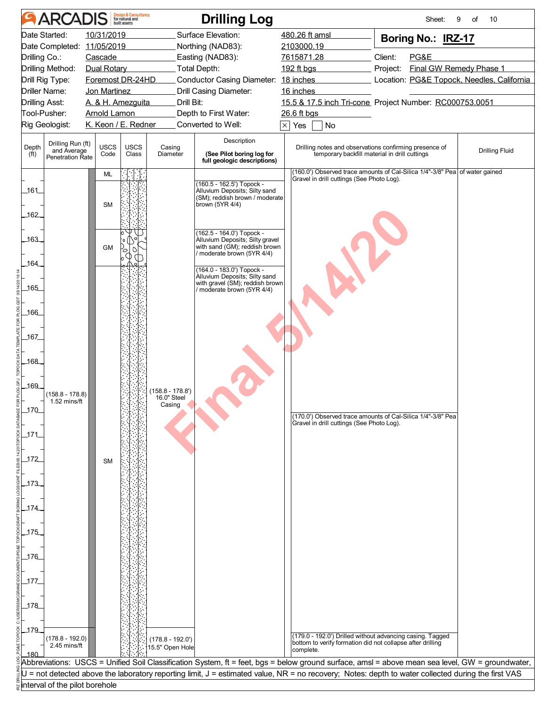